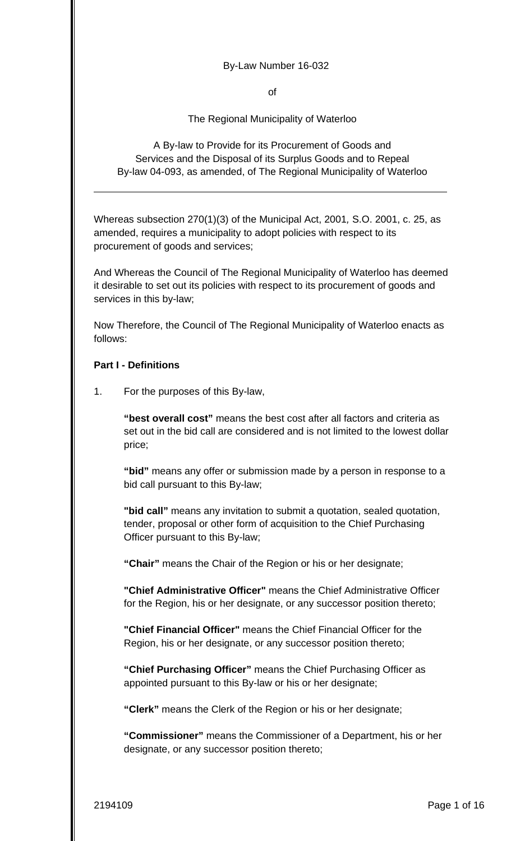#### By-Law Number 16-032

of

The Regional Municipality of Waterloo

A By-law to Provide for its Procurement of Goods and Services and the Disposal of its Surplus Goods and to Repeal By-law 04-093, as amended, of The Regional Municipality of Waterloo

Whereas subsection 270(1)(3) of the Municipal Act, 2001*,* S.O. 2001, c. 25, as amended, requires a municipality to adopt policies with respect to its procurement of goods and services;

And Whereas the Council of The Regional Municipality of Waterloo has deemed it desirable to set out its policies with respect to its procurement of goods and services in this by-law;

Now Therefore, the Council of The Regional Municipality of Waterloo enacts as follows:

### **Part I - Definitions**

1. For the purposes of this By-law,

**"best overall cost"** means the best cost after all factors and criteria as set out in the bid call are considered and is not limited to the lowest dollar price;

**"bid"** means any offer or submission made by a person in response to a bid call pursuant to this By-law;

**"bid call"** means any invitation to submit a quotation, sealed quotation, tender, proposal or other form of acquisition to the Chief Purchasing Officer pursuant to this By-law;

**"Chair"** means the Chair of the Region or his or her designate;

**"Chief Administrative Officer"** means the Chief Administrative Officer for the Region, his or her designate, or any successor position thereto;

**"Chief Financial Officer"** means the Chief Financial Officer for the Region, his or her designate, or any successor position thereto;

**"Chief Purchasing Officer"** means the Chief Purchasing Officer as appointed pursuant to this By-law or his or her designate;

**"Clerk"** means the Clerk of the Region or his or her designate;

**"Commissioner"** means the Commissioner of a Department, his or her designate, or any successor position thereto;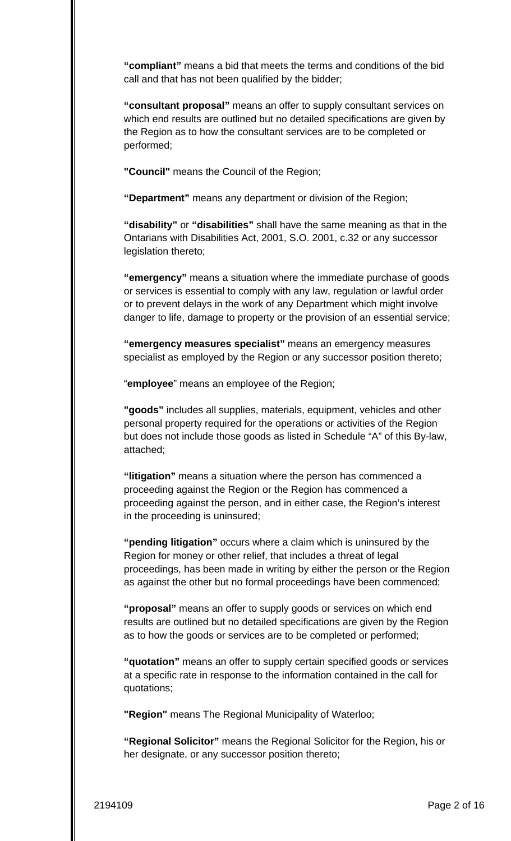**"compliant"** means a bid that meets the terms and conditions of the bid call and that has not been qualified by the bidder;

**"consultant proposal"** means an offer to supply consultant services on which end results are outlined but no detailed specifications are given by the Region as to how the consultant services are to be completed or performed;

**"Council"** means the Council of the Region;

**"Department"** means any department or division of the Region;

**"disability"** or **"disabilities"** shall have the same meaning as that in the Ontarians with Disabilities Act, 2001, S.O. 2001, c.32 or any successor legislation thereto;

**"emergency"** means a situation where the immediate purchase of goods or services is essential to comply with any law, regulation or lawful order or to prevent delays in the work of any Department which might involve danger to life, damage to property or the provision of an essential service;

**"emergency measures specialist"** means an emergency measures specialist as employed by the Region or any successor position thereto;

"**employee**" means an employee of the Region;

**"goods"** includes all supplies, materials, equipment, vehicles and other personal property required for the operations or activities of the Region but does not include those goods as listed in Schedule "A" of this By-law, attached;

**"litigation"** means a situation where the person has commenced a proceeding against the Region or the Region has commenced a proceeding against the person, and in either case, the Region's interest in the proceeding is uninsured;

**"pending litigation"** occurs where a claim which is uninsured by the Region for money or other relief, that includes a threat of legal proceedings, has been made in writing by either the person or the Region as against the other but no formal proceedings have been commenced;

**"proposal"** means an offer to supply goods or services on which end results are outlined but no detailed specifications are given by the Region as to how the goods or services are to be completed or performed;

**"quotation"** means an offer to supply certain specified goods or services at a specific rate in response to the information contained in the call for quotations;

**"Region"** means The Regional Municipality of Waterloo;

**"Regional Solicitor"** means the Regional Solicitor for the Region, his or her designate, or any successor position thereto;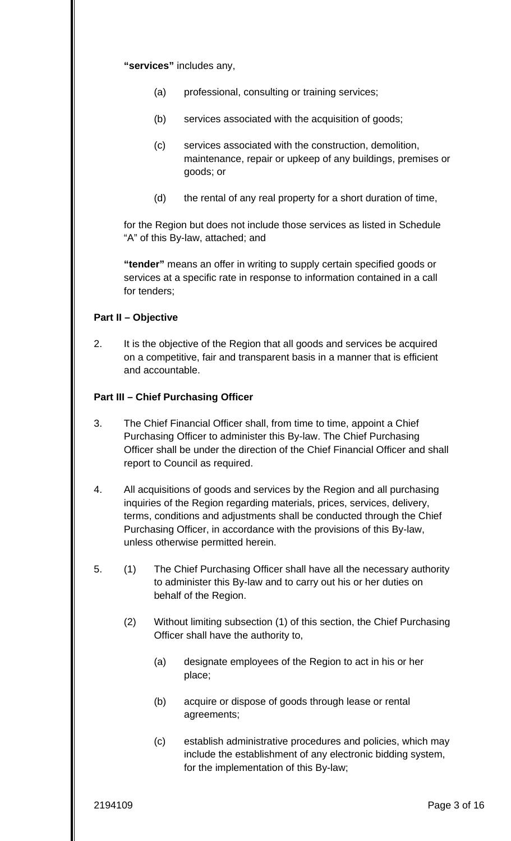**"services"** includes any,

- (a) professional, consulting or training services;
- (b) services associated with the acquisition of goods;
- (c) services associated with the construction, demolition, maintenance, repair or upkeep of any buildings, premises or goods; or
- (d) the rental of any real property for a short duration of time,

for the Region but does not include those services as listed in Schedule "A" of this By-law, attached; and

**"tender"** means an offer in writing to supply certain specified goods or services at a specific rate in response to information contained in a call for tenders;

### **Part II – Objective**

2. It is the objective of the Region that all goods and services be acquired on a competitive, fair and transparent basis in a manner that is efficient and accountable.

#### **Part III – Chief Purchasing Officer**

- 3. The Chief Financial Officer shall, from time to time, appoint a Chief Purchasing Officer to administer this By-law. The Chief Purchasing Officer shall be under the direction of the Chief Financial Officer and shall report to Council as required.
- 4. All acquisitions of goods and services by the Region and all purchasing inquiries of the Region regarding materials, prices, services, delivery, terms, conditions and adjustments shall be conducted through the Chief Purchasing Officer, in accordance with the provisions of this By-law, unless otherwise permitted herein.
- 5. (1) The Chief Purchasing Officer shall have all the necessary authority to administer this By-law and to carry out his or her duties on behalf of the Region.
	- (2) Without limiting subsection (1) of this section, the Chief Purchasing Officer shall have the authority to,
		- (a) designate employees of the Region to act in his or her place;
		- (b) acquire or dispose of goods through lease or rental agreements;
		- (c) establish administrative procedures and policies, which may include the establishment of any electronic bidding system, for the implementation of this By-law;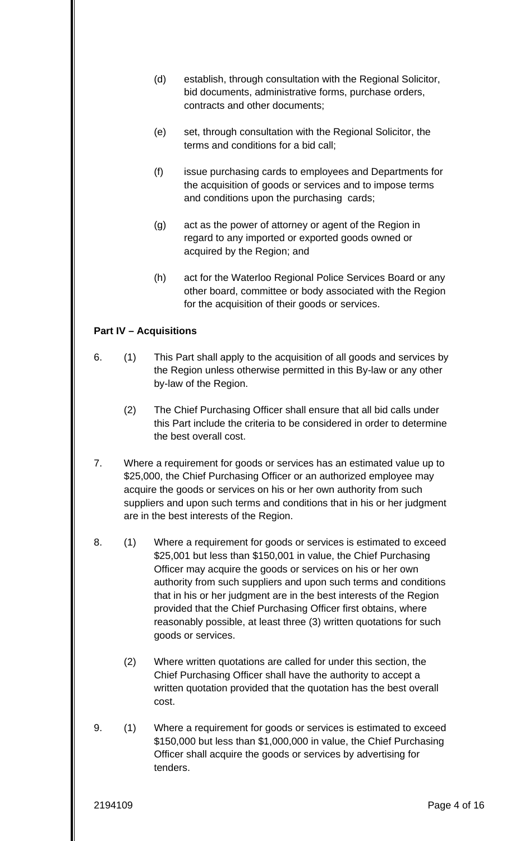- (d) establish, through consultation with the Regional Solicitor, bid documents, administrative forms, purchase orders, contracts and other documents;
- (e) set, through consultation with the Regional Solicitor, the terms and conditions for a bid call;
- (f) issue purchasing cards to employees and Departments for the acquisition of goods or services and to impose terms and conditions upon the purchasing cards;
- (g) act as the power of attorney or agent of the Region in regard to any imported or exported goods owned or acquired by the Region; and
- (h) act for the Waterloo Regional Police Services Board or any other board, committee or body associated with the Region for the acquisition of their goods or services.

### **Part IV – Acquisitions**

- 6. (1) This Part shall apply to the acquisition of all goods and services by the Region unless otherwise permitted in this By-law or any other by-law of the Region.
	- (2) The Chief Purchasing Officer shall ensure that all bid calls under this Part include the criteria to be considered in order to determine the best overall cost.
- 7. Where a requirement for goods or services has an estimated value up to \$25,000, the Chief Purchasing Officer or an authorized employee may acquire the goods or services on his or her own authority from such suppliers and upon such terms and conditions that in his or her judgment are in the best interests of the Region.
- 8. (1) Where a requirement for goods or services is estimated to exceed \$25,001 but less than \$150,001 in value, the Chief Purchasing Officer may acquire the goods or services on his or her own authority from such suppliers and upon such terms and conditions that in his or her judgment are in the best interests of the Region provided that the Chief Purchasing Officer first obtains, where reasonably possible, at least three (3) written quotations for such goods or services.
	- (2) Where written quotations are called for under this section, the Chief Purchasing Officer shall have the authority to accept a written quotation provided that the quotation has the best overall cost.
- 9. (1) Where a requirement for goods or services is estimated to exceed \$150,000 but less than \$1,000,000 in value, the Chief Purchasing Officer shall acquire the goods or services by advertising for tenders.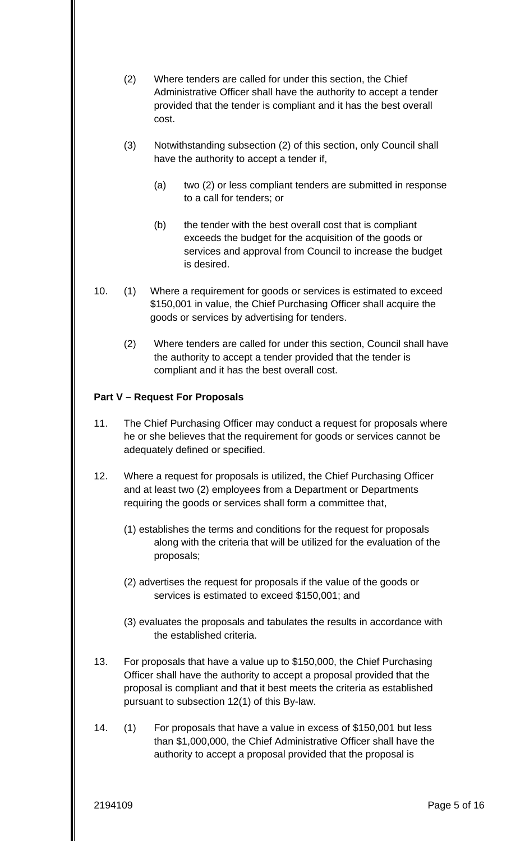- (2) Where tenders are called for under this section, the Chief Administrative Officer shall have the authority to accept a tender provided that the tender is compliant and it has the best overall cost.
- (3) Notwithstanding subsection (2) of this section, only Council shall have the authority to accept a tender if,
	- (a) two (2) or less compliant tenders are submitted in response to a call for tenders; or
	- (b) the tender with the best overall cost that is compliant exceeds the budget for the acquisition of the goods or services and approval from Council to increase the budget is desired.
- 10. (1) Where a requirement for goods or services is estimated to exceed \$150,001 in value, the Chief Purchasing Officer shall acquire the goods or services by advertising for tenders.
	- (2) Where tenders are called for under this section, Council shall have the authority to accept a tender provided that the tender is compliant and it has the best overall cost.

# **Part V – Request For Proposals**

- 11. The Chief Purchasing Officer may conduct a request for proposals where he or she believes that the requirement for goods or services cannot be adequately defined or specified.
- 12. Where a request for proposals is utilized, the Chief Purchasing Officer and at least two (2) employees from a Department or Departments requiring the goods or services shall form a committee that,
	- (1) establishes the terms and conditions for the request for proposals along with the criteria that will be utilized for the evaluation of the proposals;
	- (2) advertises the request for proposals if the value of the goods or services is estimated to exceed \$150,001; and
	- (3) evaluates the proposals and tabulates the results in accordance with the established criteria.
- 13. For proposals that have a value up to \$150,000, the Chief Purchasing Officer shall have the authority to accept a proposal provided that the proposal is compliant and that it best meets the criteria as established pursuant to subsection 12(1) of this By-law.
- 14. (1) For proposals that have a value in excess of \$150,001 but less than \$1,000,000, the Chief Administrative Officer shall have the authority to accept a proposal provided that the proposal is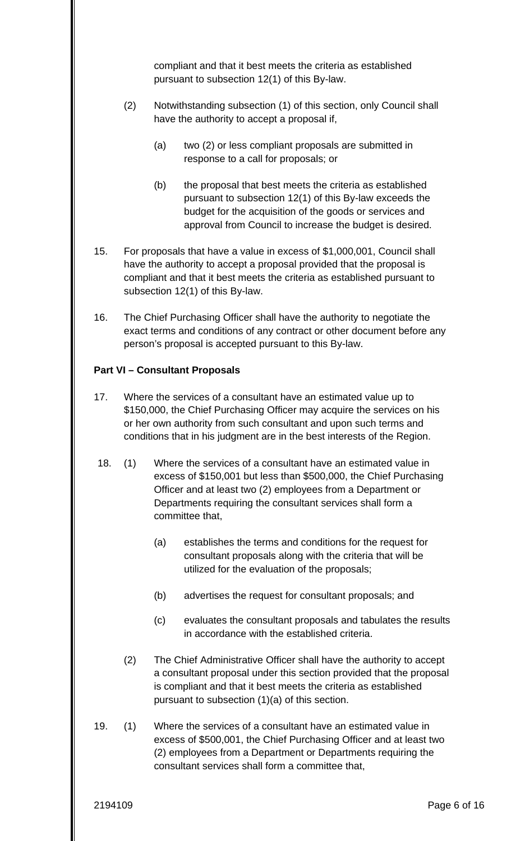compliant and that it best meets the criteria as established pursuant to subsection 12(1) of this By-law.

- (2) Notwithstanding subsection (1) of this section, only Council shall have the authority to accept a proposal if,
	- response to a call for proposals; or (a) two (2) or less compliant proposals are submitted in
	- $(b)$  the proposal that best meets the criteria as established pursuant to subsection 12(1) of this By-law exceeds the budget for the acquisition of the goods or services and approval from Council to increase the budget is desired.
- 15. For proposals that have a value in excess of \$1,000,001, Council shall have the authority to accept a proposal provided that the proposal is compliant and that it best meets the criteria as established pursuant to subsection 12(1) of this By-law.
- 16. The Chief Purchasing Officer shall have the authority to negotiate the exact terms and conditions of any contract or other document before any person's proposal is accepted pursuant to this By-law.

# **Part VI – Consultant Proposals**

- 17. Where the services of a consultant have an estimated value up to \$150,000, the Chief Purchasing Officer may acquire the services on his or her own authority from such consultant and upon such terms and conditions that in his judgment are in the best interests of the Region.
- 18. (1) Where the services of a consultant have an estimated value in excess of \$150,001 but less than \$500,000, the Chief Purchasing Officer and at least two (2) employees from a Department or Departments requiring the consultant services shall form a committee that,
	- (a) establishes the terms and conditions for the request for consultant proposals along with the criteria that will be utilized for the evaluation of the proposals;
	- (b) advertises the request for consultant proposals; and
	- (c) evaluates the consultant proposals and tabulates the results in accordance with the established criteria.
	- (2) The Chief Administrative Officer shall have the authority to accept a consultant proposal under this section provided that the proposal is compliant and that it best meets the criteria as established pursuant to subsection (1)(a) of this section.
- 19. (1) Where the services of a consultant have an estimated value in excess of \$500,001, the Chief Purchasing Officer and at least two (2) employees from a Department or Departments requiring the consultant services shall form a committee that,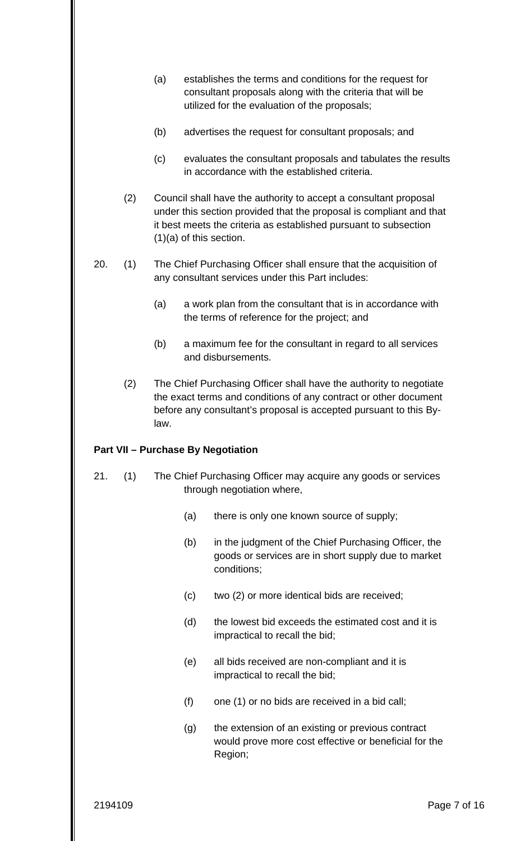- (a) establishes the terms and conditions for the request for consultant proposals along with the criteria that will be utilized for the evaluation of the proposals;
- (b) advertises the request for consultant proposals; and
- (c) evaluates the consultant proposals and tabulates the results in accordance with the established criteria.
- (2) Council shall have the authority to accept a consultant proposal under this section provided that the proposal is compliant and that it best meets the criteria as established pursuant to subsection (1)(a) of this section.
- 20. (1) The Chief Purchasing Officer shall ensure that the acquisition of any consultant services under this Part includes:
	- (a) a work plan from the consultant that is in accordance with the terms of reference for the project; and
	- (b) a maximum fee for the consultant in regard to all services and disbursements.
	- (2) The Chief Purchasing Officer shall have the authority to negotiate the exact terms and conditions of any contract or other document before any consultant's proposal is accepted pursuant to this Bylaw.

# **Part VII – Purchase By Negotiation**

- 21. (1) The Chief Purchasing Officer may acquire any goods or services through negotiation where,
	- (a) there is only one known source of supply;
	- (b) in the judgment of the Chief Purchasing Officer, the goods or services are in short supply due to market conditions;
	- (c) two (2) or more identical bids are received;
	- (d) the lowest bid exceeds the estimated cost and it is impractical to recall the bid;
	- (e) all bids received are non-compliant and it is impractical to recall the bid;
	- $(f)$  one  $(1)$  or no bids are received in a bid call;
	- (g) the extension of an existing or previous contract would prove more cost effective or beneficial for the Region;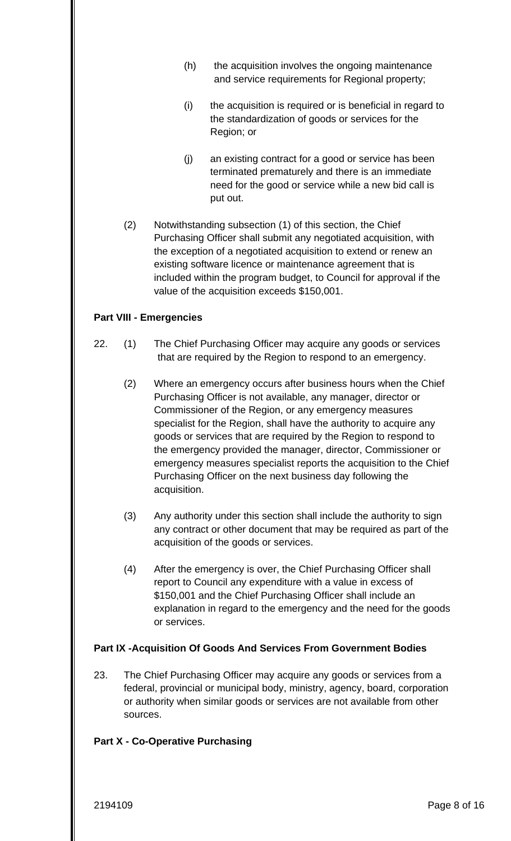- (h) the acquisition involves the ongoing maintenance and service requirements for Regional property;
- (i) the acquisition is required or is beneficial in regard to the standardization of goods or services for the Region; or
- (j) an existing contract for a good or service has been terminated prematurely and there is an immediate need for the good or service while a new bid call is put out.
- (2) Notwithstanding subsection (1) of this section, the Chief Purchasing Officer shall submit any negotiated acquisition, with the exception of a negotiated acquisition to extend or renew an existing software licence or maintenance agreement that is included within the program budget, to Council for approval if the value of the acquisition exceeds \$150,001.

### **Part VIII - Emergencies**

- 22. (1) The Chief Purchasing Officer may acquire any goods or services that are required by the Region to respond to an emergency.
	- (2) Where an emergency occurs after business hours when the Chief Purchasing Officer is not available, any manager, director or Commissioner of the Region, or any emergency measures specialist for the Region, shall have the authority to acquire any goods or services that are required by the Region to respond to the emergency provided the manager, director, Commissioner or emergency measures specialist reports the acquisition to the Chief Purchasing Officer on the next business day following the acquisition.
	- (3) Any authority under this section shall include the authority to sign any contract or other document that may be required as part of the acquisition of the goods or services.
	- (4) After the emergency is over, the Chief Purchasing Officer shall report to Council any expenditure with a value in excess of \$150,001 and the Chief Purchasing Officer shall include an explanation in regard to the emergency and the need for the goods or services.

### **Part IX -Acquisition Of Goods And Services From Government Bodies**

23. The Chief Purchasing Officer may acquire any goods or services from a federal, provincial or municipal body, ministry, agency, board, corporation or authority when similar goods or services are not available from other sources.

### **Part X - Co-Operative Purchasing**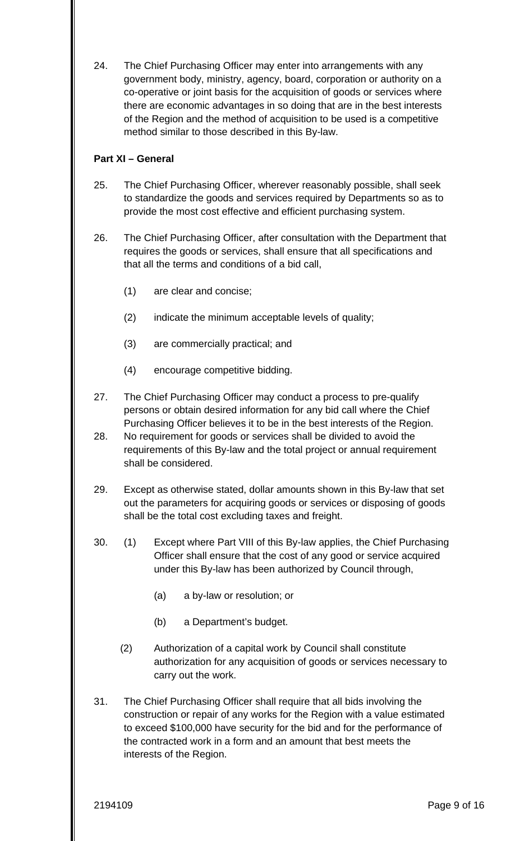24. The Chief Purchasing Officer may enter into arrangements with any government body, ministry, agency, board, corporation or authority on a co-operative or joint basis for the acquisition of goods or services where there are economic advantages in so doing that are in the best interests of the Region and the method of acquisition to be used is a competitive method similar to those described in this By-law.

# **Part XI – General**

- 25. The Chief Purchasing Officer, wherever reasonably possible, shall seek to standardize the goods and services required by Departments so as to provide the most cost effective and efficient purchasing system.
- 26. The Chief Purchasing Officer, after consultation with the Department that requires the goods or services, shall ensure that all specifications and that all the terms and conditions of a bid call,
	- are clear and concise;
	- (1) are clear and concise;<br>(2) indicate the minimum acceptable levels of quality;
	- (3) are commercially practical; and
	- (4) encourage competitive bidding.
- 27. The Chief Purchasing Officer may conduct a process to pre-qualify persons or obtain desired information for any bid call where the Chief Purchasing Officer believes it to be in the best interests of the Region.
- 28. No requirement for goods or services shall be divided to avoid the requirements of this By-law and the total project or annual requirement shall be considered.
- 29. Except as otherwise stated, dollar amounts shown in this By-law that set out the parameters for acquiring goods or services or disposing of goods shall be the total cost excluding taxes and freight.
- 30. (1) Except where Part VIII of this By-law applies, the Chief Purchasing Officer shall ensure that the cost of any good or service acquired under this By-law has been authorized by Council through,
	- (a) a by-law or resolution; or
	- (b) a Department's budget.
	- (2) Authorization of a capital work by Council shall constitute authorization for any acquisition of goods or services necessary to carry out the work.
- 31. The Chief Purchasing Officer shall require that all bids involving the construction or repair of any works for the Region with a value estimated to exceed \$100,000 have security for the bid and for the performance of the contracted work in a form and an amount that best meets the interests of the Region.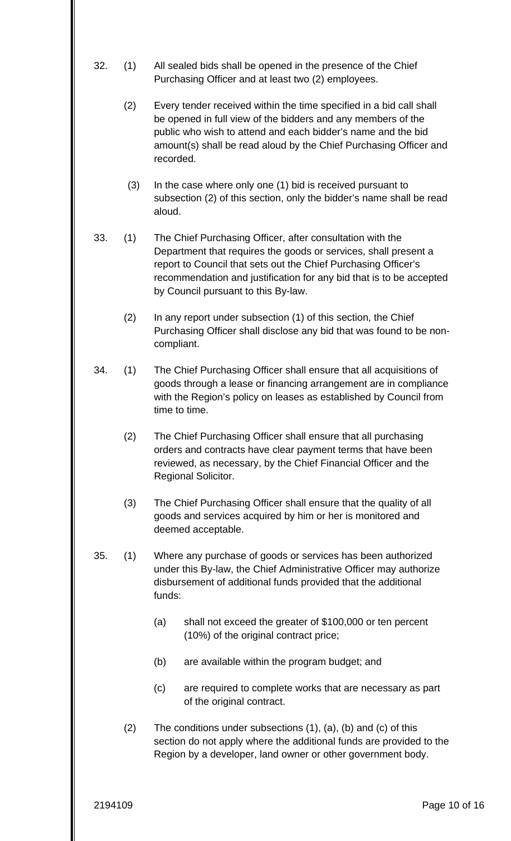- 32. (1) All sealed bids shall be opened in the presence of the Chief Purchasing Officer and at least two (2) employees.
	- (2) Every tender received within the time specified in a bid call shall be opened in full view of the bidders and any members of the public who wish to attend and each bidder's name and the bid amount(s) shall be read aloud by the Chief Purchasing Officer and recorded.
	- (3) In the case where only one (1) bid is received pursuant to subsection (2) of this section, only the bidder's name shall be read aloud.
- 33. (1) The Chief Purchasing Officer, after consultation with the Department that requires the goods or services, shall present a report to Council that sets out the Chief Purchasing Officer's recommendation and justification for any bid that is to be accepted by Council pursuant to this By-law.
	- (2) In any report under subsection (1) of this section, the Chief Purchasing Officer shall disclose any bid that was found to be noncompliant.
- 34. (1) The Chief Purchasing Officer shall ensure that all acquisitions of goods through a lease or financing arrangement are in compliance with the Region's policy on leases as established by Council from time to time.
	- (2) The Chief Purchasing Officer shall ensure that all purchasing orders and contracts have clear payment terms that have been reviewed, as necessary, by the Chief Financial Officer and the Regional Solicitor.
	- (3) The Chief Purchasing Officer shall ensure that the quality of all goods and services acquired by him or her is monitored and deemed acceptable.
- 35. (1) Where any purchase of goods or services has been authorized under this By-law, the Chief Administrative Officer may authorize disbursement of additional funds provided that the additional funds:
	- (a) shall not exceed the greater of \$100,000 or ten percent (10%) of the original contract price;
	- (b) are available within the program budget; and
	- (c) are required to complete works that are necessary as part of the original contract.
	- (2) The conditions under subsections (1), (a), (b) and (c) of this section do not apply where the additional funds are provided to the Region by a developer, land owner or other government body.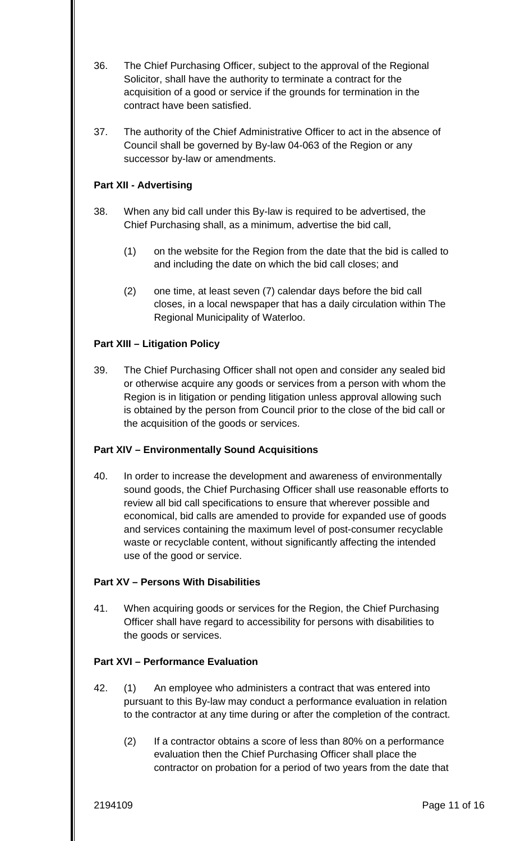- 36. The Chief Purchasing Officer, subject to the approval of the Regional Solicitor, shall have the authority to terminate a contract for the acquisition of a good or service if the grounds for termination in the contract have been satisfied.
- 37. The authority of the Chief Administrative Officer to act in the absence of Council shall be governed by By-law 04-063 of the Region or any successor by-law or amendments.

# **Part XII - Advertising**

- 38. When any bid call under this By-law is required to be advertised, the Chief Purchasing shall, as a minimum, advertise the bid call,
	- (1) on the website for the Region from the date that the bid is called to and including the date on which the bid call closes; and
	- (2) one time, at least seven (7) calendar days before the bid call closes, in a local newspaper that has a daily circulation within The Regional Municipality of Waterloo.

# **Part XIII – Litigation Policy**

39. The Chief Purchasing Officer shall not open and consider any sealed bid or otherwise acquire any goods or services from a person with whom the Region is in litigation or pending litigation unless approval allowing such is obtained by the person from Council prior to the close of the bid call or the acquisition of the goods or services.

### **Part XIV – Environmentally Sound Acquisitions**

40. In order to increase the development and awareness of environmentally sound goods, the Chief Purchasing Officer shall use reasonable efforts to review all bid call specifications to ensure that wherever possible and economical, bid calls are amended to provide for expanded use of goods and services containing the maximum level of post-consumer recyclable waste or recyclable content, without significantly affecting the intended use of the good or service.

### **Part XV – Persons With Disabilities**

41. When acquiring goods or services for the Region, the Chief Purchasing Officer shall have regard to accessibility for persons with disabilities to the goods or services.

### **Part XVI – Performance Evaluation**

- 42. (1) An employee who administers a contract that was entered into pursuant to this By-law may conduct a performance evaluation in relation to the contractor at any time during or after the completion of the contract.
	- (2) If a contractor obtains a score of less than 80% on a performance evaluation then the Chief Purchasing Officer shall place the contractor on probation for a period of two years from the date that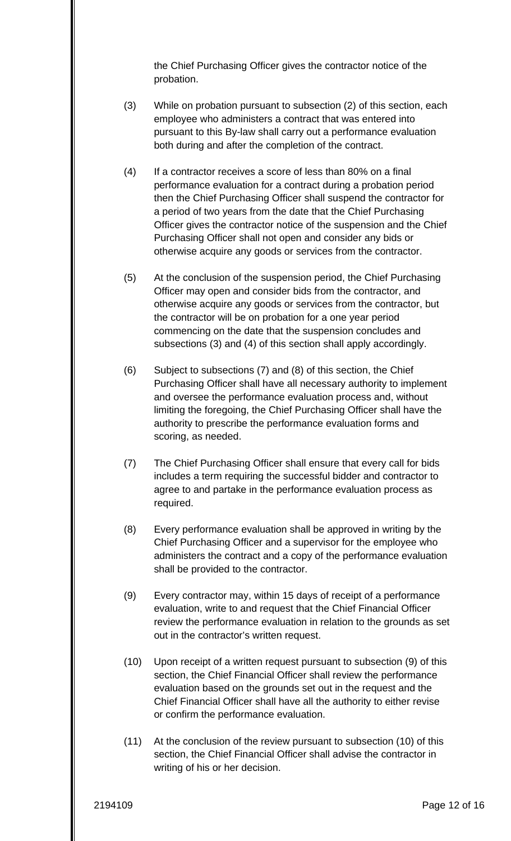the Chief Purchasing Officer gives the contractor notice of the probation.

- (3) While on probation pursuant to subsection (2) of this section, each employee who administers a contract that was entered into pursuant to this By-law shall carry out a performance evaluation both during and after the completion of the contract.
- (4) If a contractor receives a score of less than 80% on a final performance evaluation for a contract during a probation period then the Chief Purchasing Officer shall suspend the contractor for a period of two years from the date that the Chief Purchasing Officer gives the contractor notice of the suspension and the Chief Purchasing Officer shall not open and consider any bids or otherwise acquire any goods or services from the contractor.
- (5) At the conclusion of the suspension period, the Chief Purchasing Officer may open and consider bids from the contractor, and otherwise acquire any goods or services from the contractor, but the contractor will be on probation for a one year period commencing on the date that the suspension concludes and subsections (3) and (4) of this section shall apply accordingly.
- (6) Subject to subsections (7) and (8) of this section, the Chief Purchasing Officer shall have all necessary authority to implement and oversee the performance evaluation process and, without limiting the foregoing, the Chief Purchasing Officer shall have the authority to prescribe the performance evaluation forms and scoring, as needed.
- (7) The Chief Purchasing Officer shall ensure that every call for bids includes a term requiring the successful bidder and contractor to agree to and partake in the performance evaluation process as required.
- (8) Every performance evaluation shall be approved in writing by the Chief Purchasing Officer and a supervisor for the employee who administers the contract and a copy of the performance evaluation shall be provided to the contractor.
- (9) Every contractor may, within 15 days of receipt of a performance evaluation, write to and request that the Chief Financial Officer review the performance evaluation in relation to the grounds as set out in the contractor's written request.
- (10) Upon receipt of a written request pursuant to subsection (9) of this section, the Chief Financial Officer shall review the performance evaluation based on the grounds set out in the request and the Chief Financial Officer shall have all the authority to either revise or confirm the performance evaluation.
- (11) At the conclusion of the review pursuant to subsection (10) of this section, the Chief Financial Officer shall advise the contractor in writing of his or her decision.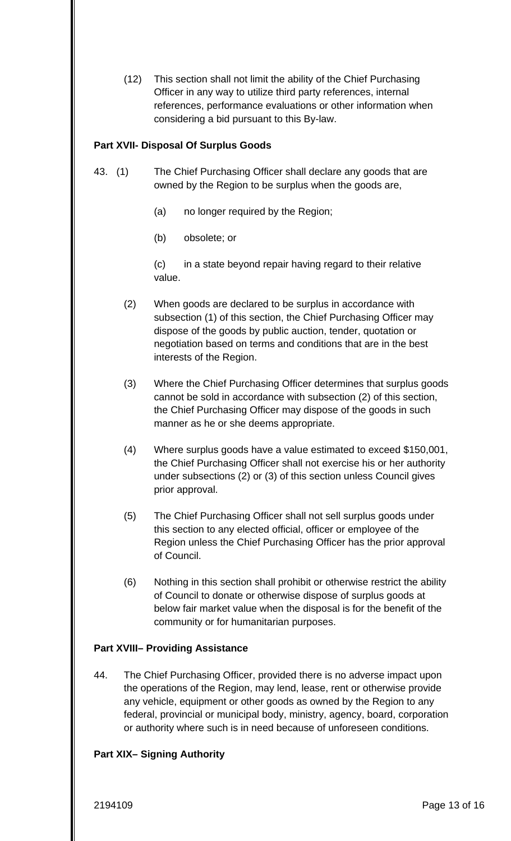(12) This section shall not limit the ability of the Chief Purchasing Officer in any way to utilize third party references, internal references, performance evaluations or other information when considering a bid pursuant to this By-law.

#### **Part XVII- Disposal Of Surplus Goods**

- 43. (1) The Chief Purchasing Officer shall declare any goods that are owned by the Region to be surplus when the goods are,
	- (a) no longer required by the Region;
	- $(b)$ (b) obsolete; or

(c) in a state beyond repair having regard to their relative value.

- (2) When goods are declared to be surplus in accordance with subsection (1) of this section, the Chief Purchasing Officer may dispose of the goods by public auction, tender, quotation or negotiation based on terms and conditions that are in the best interests of the Region.
- (3) Where the Chief Purchasing Officer determines that surplus goods cannot be sold in accordance with subsection (2) of this section, the Chief Purchasing Officer may dispose of the goods in such manner as he or she deems appropriate.
- (4) Where surplus goods have a value estimated to exceed \$150,001, the Chief Purchasing Officer shall not exercise his or her authority under subsections (2) or (3) of this section unless Council gives prior approval.
- (5) The Chief Purchasing Officer shall not sell surplus goods under this section to any elected official, officer or employee of the Region unless the Chief Purchasing Officer has the prior approval of Council.
- (6) Nothing in this section shall prohibit or otherwise restrict the ability of Council to donate or otherwise dispose of surplus goods at below fair market value when the disposal is for the benefit of the community or for humanitarian purposes.

### **Part XVIII– Providing Assistance**

44. The Chief Purchasing Officer, provided there is no adverse impact upon the operations of the Region, may lend, lease, rent or otherwise provide any vehicle, equipment or other goods as owned by the Region to any federal, provincial or municipal body, ministry, agency, board, corporation or authority where such is in need because of unforeseen conditions.

### **Part XIX– Signing Authority**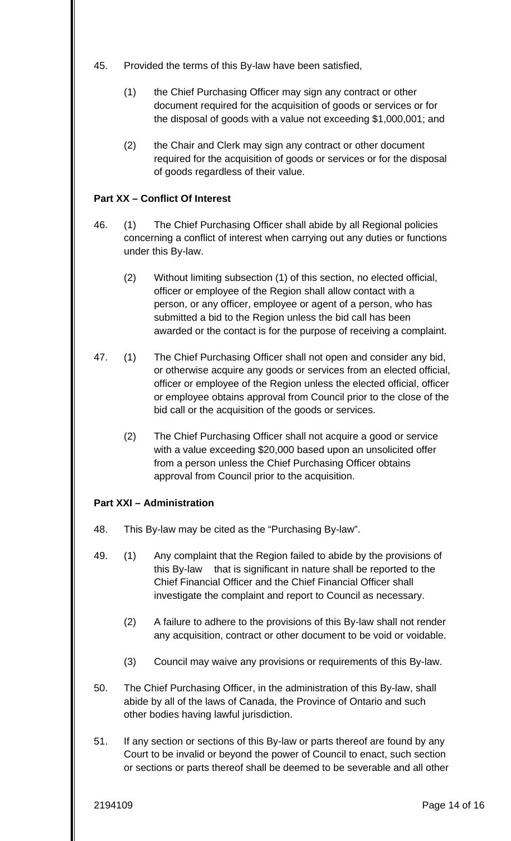- 45. Provided the terms of this By-law have been satisfied,
	- (1) the Chief Purchasing Officer may sign any contract or other document required for the acquisition of goods or services or for the disposal of goods with a value not exceeding \$1,000,001; and
	- (2) the Chair and Clerk may sign any contract or other document required for the acquisition of goods or services or for the disposal of goods regardless of their value.

# **Part XX – Conflict Of Interest**

- 46. (1) The Chief Purchasing Officer shall abide by all Regional policies concerning a conflict of interest when carrying out any duties or functions under this By-law.
	- (2) Without limiting subsection (1) of this section, no elected official, officer or employee of the Region shall allow contact with a person, or any officer, employee or agent of a person, who has submitted a bid to the Region unless the bid call has been awarded or the contact is for the purpose of receiving a complaint.
- 47. (1) The Chief Purchasing Officer shall not open and consider any bid, or otherwise acquire any goods or services from an elected official, officer or employee of the Region unless the elected official, officer or employee obtains approval from Council prior to the close of the bid call or the acquisition of the goods or services.
	- (2) The Chief Purchasing Officer shall not acquire a good or service with a value exceeding \$20,000 based upon an unsolicited offer from a person unless the Chief Purchasing Officer obtains approval from Council prior to the acquisition.

### **Part XXI – Administration**

- 48. This By-law may be cited as the "Purchasing By-law".
- 49. (1) Any complaint that the Region failed to abide by the provisions of this By-law that is significant in nature shall be reported to the Chief Financial Officer and the Chief Financial Officer shall investigate the complaint and report to Council as necessary.
	- (2) A failure to adhere to the provisions of this By-law shall not render any acquisition, contract or other document to be void or voidable.
	- (3) Council may waive any provisions or requirements of this By-law.
- 50. The Chief Purchasing Officer, in the administration of this By-law, shall abide by all of the laws of Canada, the Province of Ontario and such other bodies having lawful jurisdiction.
- 51. If any section or sections of this By-law or parts thereof are found by any Court to be invalid or beyond the power of Council to enact, such section or sections or parts thereof shall be deemed to be severable and all other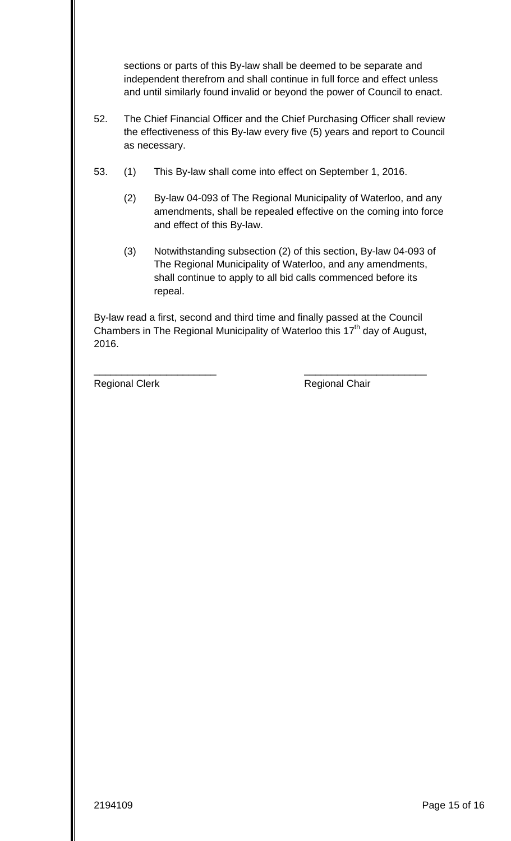sections or parts of this By-law shall be deemed to be separate and independent therefrom and shall continue in full force and effect unless and until similarly found invalid or beyond the power of Council to enact.

- 52. The Chief Financial Officer and the Chief Purchasing Officer shall review the effectiveness of this By-law every five (5) years and report to Council as necessary.
- 53. (1) This By-law shall come into effect on September 1, 2016.
	- (2) By-law 04-093 of The Regional Municipality of Waterloo, and any amendments, shall be repealed effective on the coming into force and effect of this By-law.
	- (3) Notwithstanding subsection (2) of this section, By-law 04-093 of The Regional Municipality of Waterloo, and any amendments, shall continue to apply to all bid calls commenced before its repeal.

By-law read a first, second and third time and finally passed at the Council Chambers in The Regional Municipality of Waterloo this  $17<sup>th</sup>$  day of August, 2016.

\_\_\_\_\_\_\_\_\_\_\_\_\_\_\_\_\_\_\_\_\_\_ \_\_\_\_\_\_\_\_\_\_\_\_\_\_\_\_\_\_\_\_\_\_

Regional Clerk **Regional Chair**